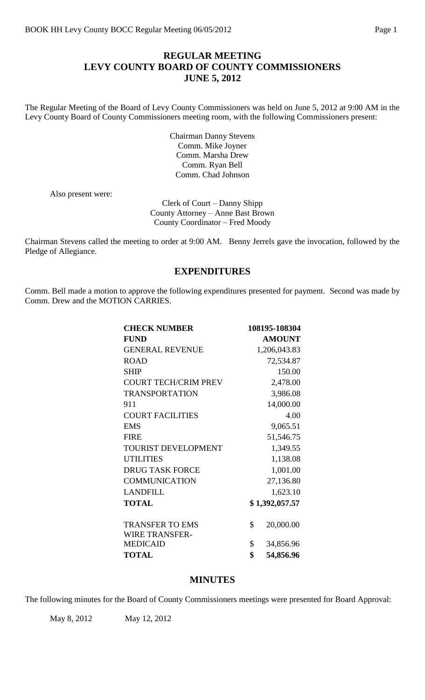# **REGULAR MEETING LEVY COUNTY BOARD OF COUNTY COMMISSIONERS JUNE 5, 2012**

The Regular Meeting of the Board of Levy County Commissioners was held on June 5, 2012 at 9:00 AM in the Levy County Board of County Commissioners meeting room, with the following Commissioners present:

> Chairman Danny Stevens Comm. Mike Joyner Comm. Marsha Drew Comm. Ryan Bell Comm. Chad Johnson

Also present were:

Clerk of Court – Danny Shipp County Attorney – Anne Bast Brown County Coordinator – Fred Moody

Chairman Stevens called the meeting to order at 9:00 AM. Benny Jerrels gave the invocation, followed by the Pledge of Allegiance.

## **EXPENDITURES**

Comm. Bell made a motion to approve the following expenditures presented for payment. Second was made by Comm. Drew and the MOTION CARRIES.

| <b>CHECK NUMBER</b>                             | 108195-108304   |
|-------------------------------------------------|-----------------|
| <b>FUND</b>                                     | <b>AMOUNT</b>   |
| <b>GENERAL REVENUE</b>                          | 1,206,043.83    |
| <b>ROAD</b>                                     | 72,534.87       |
| <b>SHIP</b>                                     | 150.00          |
| <b>COURT TECH/CRIM PREV</b>                     | 2,478.00        |
| <b>TRANSPORTATION</b>                           | 3,986.08        |
| 911                                             | 14,000.00       |
| <b>COURT FACILITIES</b>                         | 4.00            |
| <b>EMS</b>                                      | 9,065.51        |
| <b>FIRE</b>                                     | 51,546.75       |
| <b>TOURIST DEVELOPMENT</b>                      | 1,349.55        |
| <b>UTILITIES</b>                                | 1,138.08        |
| <b>DRUG TASK FORCE</b>                          | 1,001.00        |
| <b>COMMUNICATION</b>                            | 27,136.80       |
| <b>LANDFILL</b>                                 | 1,623.10        |
| <b>TOTAL</b>                                    | \$1,392,057.57  |
| <b>TRANSFER TO EMS</b><br><b>WIRE TRANSFER-</b> | \$<br>20,000.00 |
| <b>MEDICAID</b>                                 | \$<br>34,856.96 |
| <b>TOTAL</b>                                    | \$<br>54,856.96 |

# **MINUTES**

The following minutes for the Board of County Commissioners meetings were presented for Board Approval:

May 8, 2012 May 12, 2012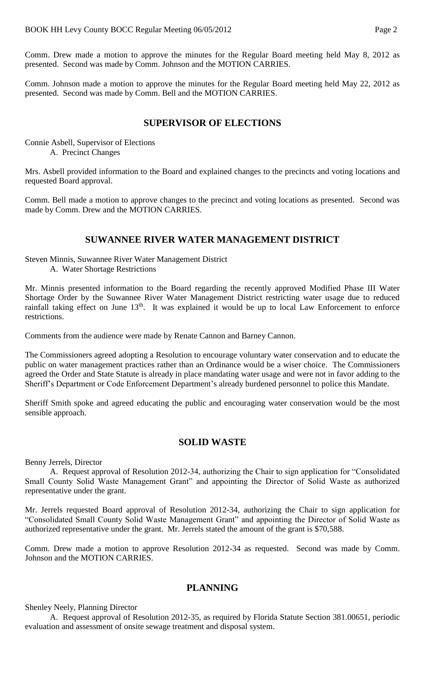Comm. Drew made a motion to approve the minutes for the Regular Board meeting held May 8, 2012 as presented. Second was made by Comm. Johnson and the MOTION CARRIES.

Comm. Johnson made a motion to approve the minutes for the Regular Board meeting held May 22, 2012 as presented. Second was made by Comm. Bell and the MOTION CARRIES.

### **SUPERVISOR OF ELECTIONS**

Connie Asbell, Supervisor of Elections A. Precinct Changes

Mrs. Asbell provided information to the Board and explained changes to the precincts and voting locations and requested Board approval.

Comm. Bell made a motion to approve changes to the precinct and voting locations as presented. Second was made by Comm. Drew and the MOTION CARRIES.

### **SUWANNEE RIVER WATER MANAGEMENT DISTRICT**

Steven Minnis, Suwannee River Water Management District A. Water Shortage Restrictions

Mr. Minnis presented information to the Board regarding the recently approved Modified Phase III Water Shortage Order by the Suwannee River Water Management District restricting water usage due to reduced rainfall taking effect on June 13<sup>th</sup>. It was explained it would be up to local Law Enforcement to enforce restrictions.

Comments from the audience were made by Renate Cannon and Barney Cannon.

The Commissioners agreed adopting a Resolution to encourage voluntary water conservation and to educate the public on water management practices rather than an Ordinance would be a wiser choice. The Commissioners agreed the Order and State Statute is already in place mandating water usage and were not in favor adding to the Sheriff's Department or Code Enforcement Department's already burdened personnel to police this Mandate.

Sheriff Smith spoke and agreed educating the public and encouraging water conservation would be the most sensible approach.

### **SOLID WASTE**

Benny Jerrels, Director

A. Request approval of Resolution 2012-34, authorizing the Chair to sign application for "Consolidated Small County Solid Waste Management Grant" and appointing the Director of Solid Waste as authorized representative under the grant.

Mr. Jerrels requested Board approval of Resolution 2012-34, authorizing the Chair to sign application for "Consolidated Small County Solid Waste Management Grant" and appointing the Director of Solid Waste as authorized representative under the grant. Mr. Jerrels stated the amount of the grant is \$70,588.

Comm. Drew made a motion to approve Resolution 2012-34 as requested. Second was made by Comm. Johnson and the MOTION CARRIES.

## **PLANNING**

Shenley Neely, Planning Director

A. Request approval of Resolution 2012-35, as required by Florida Statute Section 381.00651, periodic evaluation and assessment of onsite sewage treatment and disposal system.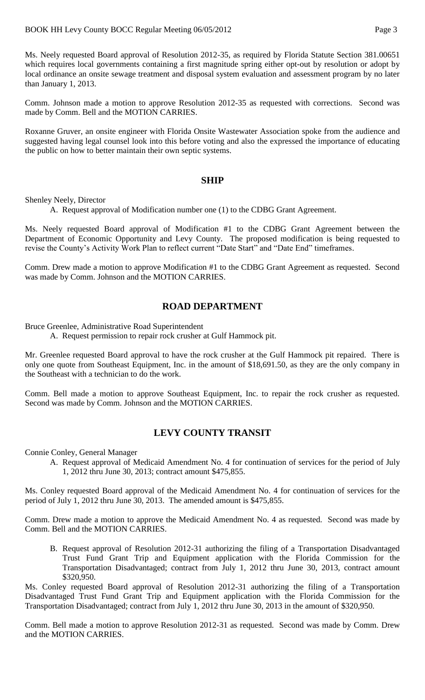Ms. Neely requested Board approval of Resolution 2012-35, as required by Florida Statute Section 381.00651 which requires local governments containing a first magnitude spring either opt-out by resolution or adopt by local ordinance an onsite sewage treatment and disposal system evaluation and assessment program by no later than January 1, 2013.

Comm. Johnson made a motion to approve Resolution 2012-35 as requested with corrections. Second was made by Comm. Bell and the MOTION CARRIES.

Roxanne Gruver, an onsite engineer with Florida Onsite Wastewater Association spoke from the audience and suggested having legal counsel look into this before voting and also the expressed the importance of educating the public on how to better maintain their own septic systems.

## **SHIP**

Shenley Neely, Director

A. Request approval of Modification number one (1) to the CDBG Grant Agreement.

Ms. Neely requested Board approval of Modification #1 to the CDBG Grant Agreement between the Department of Economic Opportunity and Levy County. The proposed modification is being requested to revise the County's Activity Work Plan to reflect current "Date Start" and "Date End" timeframes.

Comm. Drew made a motion to approve Modification #1 to the CDBG Grant Agreement as requested. Second was made by Comm. Johnson and the MOTION CARRIES.

## **ROAD DEPARTMENT**

Bruce Greenlee, Administrative Road Superintendent

A. Request permission to repair rock crusher at Gulf Hammock pit.

Mr. Greenlee requested Board approval to have the rock crusher at the Gulf Hammock pit repaired. There is only one quote from Southeast Equipment, Inc. in the amount of \$18,691.50, as they are the only company in the Southeast with a technician to do the work.

Comm. Bell made a motion to approve Southeast Equipment, Inc. to repair the rock crusher as requested. Second was made by Comm. Johnson and the MOTION CARRIES.

# **LEVY COUNTY TRANSIT**

Connie Conley, General Manager

A. Request approval of Medicaid Amendment No. 4 for continuation of services for the period of July 1, 2012 thru June 30, 2013; contract amount \$475,855.

Ms. Conley requested Board approval of the Medicaid Amendment No. 4 for continuation of services for the period of July 1, 2012 thru June 30, 2013. The amended amount is \$475,855.

Comm. Drew made a motion to approve the Medicaid Amendment No. 4 as requested. Second was made by Comm. Bell and the MOTION CARRIES.

B. Request approval of Resolution 2012-31 authorizing the filing of a Transportation Disadvantaged Trust Fund Grant Trip and Equipment application with the Florida Commission for the Transportation Disadvantaged; contract from July 1, 2012 thru June 30, 2013, contract amount \$320,950.

Ms. Conley requested Board approval of Resolution 2012-31 authorizing the filing of a Transportation Disadvantaged Trust Fund Grant Trip and Equipment application with the Florida Commission for the Transportation Disadvantaged; contract from July 1, 2012 thru June 30, 2013 in the amount of \$320,950.

Comm. Bell made a motion to approve Resolution 2012-31 as requested. Second was made by Comm. Drew and the MOTION CARRIES.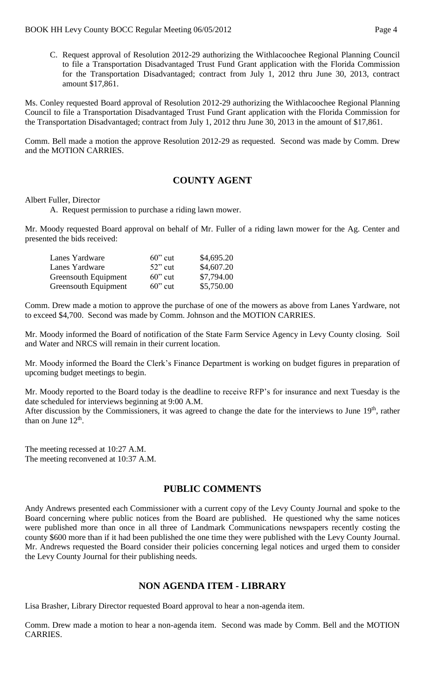C. Request approval of Resolution 2012-29 authorizing the Withlacoochee Regional Planning Council to file a Transportation Disadvantaged Trust Fund Grant application with the Florida Commission for the Transportation Disadvantaged; contract from July 1, 2012 thru June 30, 2013, contract amount \$17,861.

Ms. Conley requested Board approval of Resolution 2012-29 authorizing the Withlacoochee Regional Planning Council to file a Transportation Disadvantaged Trust Fund Grant application with the Florida Commission for the Transportation Disadvantaged; contract from July 1, 2012 thru June 30, 2013 in the amount of \$17,861.

Comm. Bell made a motion the approve Resolution 2012-29 as requested. Second was made by Comm. Drew and the MOTION CARRIES.

# **COUNTY AGENT**

### Albert Fuller, Director

A. Request permission to purchase a riding lawn mower.

Mr. Moody requested Board approval on behalf of Mr. Fuller of a riding lawn mower for the Ag. Center and presented the bids received:

| Lanes Yardware              | $60$ " cut | \$4,695.20 |
|-----------------------------|------------|------------|
| Lanes Yardware              | $52$ " cut | \$4,607.20 |
| Greensouth Equipment        | $60$ " cut | \$7,794.00 |
| <b>Greensouth Equipment</b> | $60$ " cut | \$5,750.00 |

Comm. Drew made a motion to approve the purchase of one of the mowers as above from Lanes Yardware, not to exceed \$4,700. Second was made by Comm. Johnson and the MOTION CARRIES.

Mr. Moody informed the Board of notification of the State Farm Service Agency in Levy County closing. Soil and Water and NRCS will remain in their current location.

Mr. Moody informed the Board the Clerk's Finance Department is working on budget figures in preparation of upcoming budget meetings to begin.

Mr. Moody reported to the Board today is the deadline to receive RFP's for insurance and next Tuesday is the date scheduled for interviews beginning at 9:00 A.M.

After discussion by the Commissioners, it was agreed to change the date for the interviews to June 19<sup>th</sup>, rather than on June  $12<sup>th</sup>$ .

The meeting recessed at 10:27 A.M. The meeting reconvened at 10:37 A.M.

## **PUBLIC COMMENTS**

Andy Andrews presented each Commissioner with a current copy of the Levy County Journal and spoke to the Board concerning where public notices from the Board are published. He questioned why the same notices were published more than once in all three of Landmark Communications newspapers recently costing the county \$600 more than if it had been published the one time they were published with the Levy County Journal. Mr. Andrews requested the Board consider their policies concerning legal notices and urged them to consider the Levy County Journal for their publishing needs.

# **NON AGENDA ITEM - LIBRARY**

Lisa Brasher, Library Director requested Board approval to hear a non-agenda item.

Comm. Drew made a motion to hear a non-agenda item. Second was made by Comm. Bell and the MOTION CARRIES.